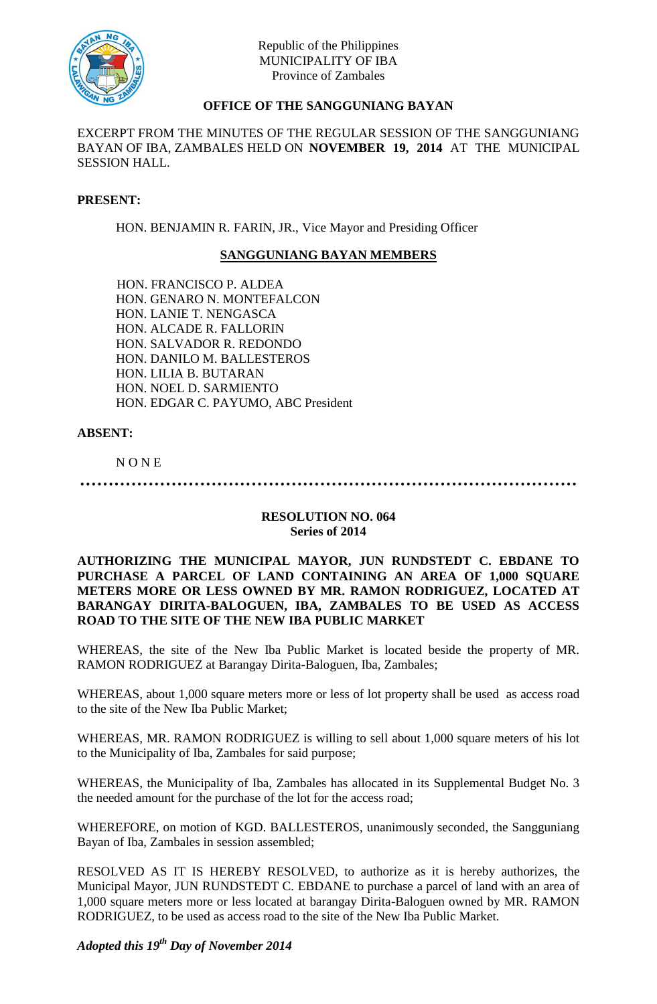

# **OFFICE OF THE SANGGUNIANG BAYAN**

EXCERPT FROM THE MINUTES OF THE REGULAR SESSION OF THE SANGGUNIANG BAYAN OF IBA, ZAMBALES HELD ON **NOVEMBER 19, 2014** AT THE MUNICIPAL SESSION HALL.

### **PRESENT:**

HON. BENJAMIN R. FARIN, JR., Vice Mayor and Presiding Officer

## **SANGGUNIANG BAYAN MEMBERS**

HON. FRANCISCO P. ALDEA HON. GENARO N. MONTEFALCON HON. LANIE T. NENGASCA HON. ALCADE R. FALLORIN HON. SALVADOR R. REDONDO HON. DANILO M. BALLESTEROS HON. LILIA B. BUTARAN HON. NOEL D. SARMIENTO HON. EDGAR C. PAYUMO, ABC President

## **ABSENT:**

N O N E

**……………………………………………………………………………**

#### **RESOLUTION NO. 064 Series of 2014**

**AUTHORIZING THE MUNICIPAL MAYOR, JUN RUNDSTEDT C. EBDANE TO PURCHASE A PARCEL OF LAND CONTAINING AN AREA OF 1,000 SQUARE METERS MORE OR LESS OWNED BY MR. RAMON RODRIGUEZ, LOCATED AT BARANGAY DIRITA-BALOGUEN, IBA, ZAMBALES TO BE USED AS ACCESS ROAD TO THE SITE OF THE NEW IBA PUBLIC MARKET**

WHEREAS, the site of the New Iba Public Market is located beside the property of MR. RAMON RODRIGUEZ at Barangay Dirita-Baloguen, Iba, Zambales;

WHEREAS, about 1,000 square meters more or less of lot property shall be used as access road to the site of the New Iba Public Market;

WHEREAS, MR. RAMON RODRIGUEZ is willing to sell about 1,000 square meters of his lot to the Municipality of Iba, Zambales for said purpose;

WHEREAS, the Municipality of Iba, Zambales has allocated in its Supplemental Budget No. 3 the needed amount for the purchase of the lot for the access road;

WHEREFORE, on motion of KGD. BALLESTEROS, unanimously seconded, the Sangguniang Bayan of Iba, Zambales in session assembled;

RESOLVED AS IT IS HEREBY RESOLVED, to authorize as it is hereby authorizes, the Municipal Mayor, JUN RUNDSTEDT C. EBDANE to purchase a parcel of land with an area of 1,000 square meters more or less located at barangay Dirita-Baloguen owned by MR. RAMON RODRIGUEZ, to be used as access road to the site of the New Iba Public Market.

*Adopted this 19 th Day of November 2014*